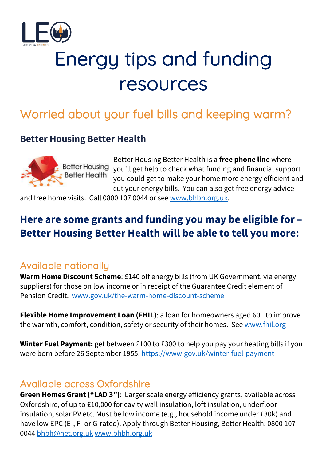

# Energy tips and funding resources

# Worried about your fuel bills and keeping warm?

#### **Better Housing Better Health**



Better Housing Better Health is a **free phone line** where you'll get help to check what funding and financial support you could get to make your home more energy efficient and cut your energy bills. You can also get free energy advice

and free home visits. Call 0800 107 0044 or see www.bhbh.org.uk.

# **Here are some grants and funding you may be eligible for – Better Housing Better Health will be able to tell you more:**

#### Available nationally

**Warm Home Discount Scheme**: £140 off energy bills (from UK Government, via energy suppliers) for those on low income or in receipt of the Guarantee Credit element of Pension Credit. www.gov.uk/the-warm-home-discount-scheme

**Flexible Home Improvement Loan (FHIL)**: a loan for homeowners aged 60+ to improve the warmth, comfort, condition, safety or security of their homes. See www.fhil.org

**Winter Fuel Payment:** get between £100 to £300 to help you pay your heating bills if you were born before 26 September 1955. https://www.gov.uk/winter-fuel-payment

#### Available across Oxfordshire

**Green Homes Grant ("LAD 3")**: Larger scale energy efficiency grants, available across Oxfordshire, of up to £10,000 for cavity wall insulation, loft insulation, underfloor insulation, solar PV etc. Must be low income (e.g., household income under £30k) and have low EPC (E-, F- or G-rated). Apply through Better Housing, Better Health: 0800 107 0044 bhbh@net.org.uk www.bhbh.org.uk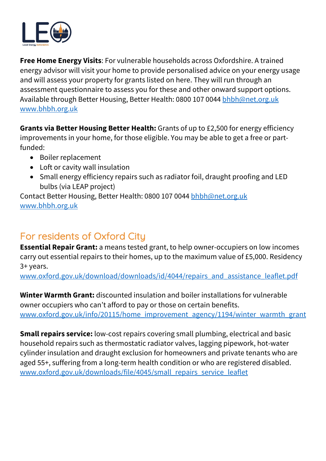

**Free Home Energy Visits**: For vulnerable households across Oxfordshire. A trained energy advisor will visit your home to provide personalised advice on your energy usage and will assess your property for grants listed on here. They will run through an assessment questionnaire to assess you for these and other onward support options. Available through Better Housing, Better Health: 0800 107 0044 bhbh@net.org.uk www.bhbh.org.uk

**Grants via Better Housing Better Health:** Grants of up to £2,500 for energy efficiency improvements in your home, for those eligible. You may be able to get a free or partfunded:

- Boiler replacement
- Loft or cavity wall insulation
- Small energy efficiency repairs such as radiator foil, draught proofing and LED bulbs (via LEAP project)

Contact Better Housing, Better Health: 0800 107 0044 bhbh@net.org.uk www.bhbh.org.uk

# For residents of Oxford City

**Essential Repair Grant:** a means tested grant, to help owner-occupiers on low incomes carry out essential repairs to their homes, up to the maximum value of £5,000. Residency 3+ years.

www.oxford.gov.uk/download/downloads/id/4044/repairs\_and\_assistance\_leaflet.pdf

**Winter Warmth Grant:** discounted insulation and boiler installations for vulnerable owner occupiers who can't afford to pay or those on certain benefits. www.oxford.gov.uk/info/20115/home\_improvement\_agency/1194/winter\_warmth\_grant

**Small repairs service:** low-cost repairs covering small plumbing, electrical and basic household repairs such as thermostatic radiator valves, lagging pipework, hot-water cylinder insulation and draught exclusion for homeowners and private tenants who are aged 55+, suffering from a long-term health condition or who are registered disabled. www.oxford.gov.uk/downloads/file/4045/small\_repairs\_service\_leaflet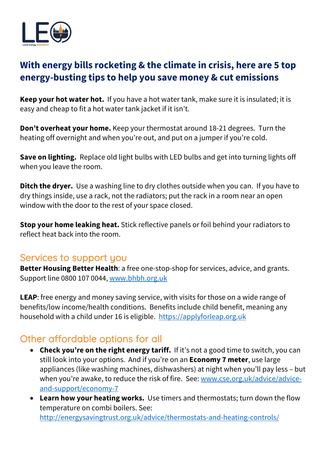

# **With energy bills rocketing & the climate in crisis, here are 5 top energy-busting tips to help you save money & cut emissions**

**Keep your hot water hot.** If you have a hot water tank, make sure it is insulated; it is easy and cheap to fit a hot water tank jacket if it isn't.

**Don't overheat your home.** Keep your thermostat around 18-21 degrees. Turn the heating off overnight and when you're out, and put on a jumper if you're cold.

**Save on lighting.** Replace old light bulbs with LED bulbs and get into turning lights off when you leave the room.

**Ditch the dryer.** Use a washing line to dry clothes outside when you can. If you have to dry things inside, use a rack, not the radiators; put the rack in a room near an open window with the door to the rest of your space closed.

**Stop your home leaking heat.** Stick reflective panels or foil behind your radiators to reflect heat back into the room.

#### Services to support you

**Better Housing Better Health**: a free one-stop-shop for services, advice, and grants. Support line 0800 107 0044, www.bhbh.org.uk

**LEAP**: free energy and money saving service, with visits for those on a wide range of benefits/low income/health conditions. Benefits include child benefit, meaning any household with a child under 16 is eligible. https://applyforleap.org.uk

#### Other affordable options for all

- **Check you're on the right energy tariff.** If it's not a good time to switch, you can still look into your options. And if you're on an **Economy 7 meter**, use large appliances (like washing machines, dishwashers) at night when you'll pay less – but when you're awake, to reduce the risk of fire. See: www.cse.org.uk/advice/adviceand-support/economy-7
- **Learn how your heating works.** Use timers and thermostats; turn down the flow temperature on combi boilers. See:

http://energysavingtrust.org.uk/advice/thermostats-and-heating-controls/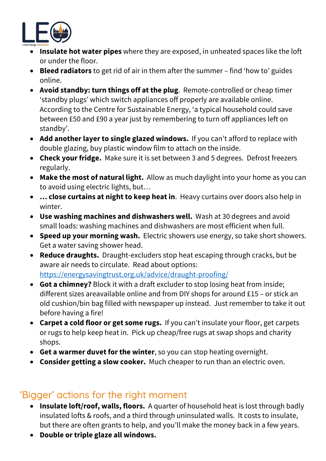

- **Insulate hot water pipes** where they are exposed, in unheated spaces like the loft or under the floor.
- **Bleed radiators** to get rid of air in them after the summer find 'how to' guides online.
- **Avoid standby: turn things off at the plug**. Remote-controlled or cheap timer 'standby plugs' which switch appliances off properly are available online. According to the Centre for Sustainable Energy, 'a typical household could save between £50 and £90 a year just by remembering to turn off appliances left on standby'.
- **Add another layer to single glazed windows.** If you can't afford to replace with double glazing, buy plastic window film to attach on the inside.
- **Check your fridge.** Make sure it is set between 3 and 5 degrees. Defrost freezers regularly.
- **Make the most of natural light.** Allow as much daylight into your home as you can to avoid using electric lights, but…
- **… close curtains at night to keep heat in**. Heavy curtains over doors also help in winter.
- **Use washing machines and dishwashers well.** Wash at 30 degrees and avoid small loads: washing machines and dishwashers are most efficient when full.
- **Speed up your morning wash.** Electric showers use energy, so take short showers. Get a water saving shower head.
- **Reduce draughts.** Draught-excluders stop heat escaping through cracks, but be aware air needs to circulate. Read about options: https://energysavingtrust.org.uk/advice/draught-proofing/
- **Got a chimney?** Block it with a draft excluder to stop losing heat from inside; different sizes areavailable online and from DIY shops for around £15 – or stick an old cushion/bin bag filled with newspaper up instead. Just remember to take it out before having a fire!
- **Carpet a cold floor or get some rugs.** If you can't insulate your floor, get carpets or rugs to help keep heat in. Pick up cheap/free rugs at swap shops and charity shops.
- **Get a warmer duvet for the winter**, so you can stop heating overnight.
- **Consider getting a slow cooker.** Much cheaper to run than an electric oven.

#### 'Bigger' actions for the right moment

- **Insulate loft/roof, walls, floors.** A quarter of household heat is lost through badly insulated lofts & roofs, and a third through uninsulated walls. It costs to insulate, but there are often grants to help, and you'll make the money back in a few years.
- **Double or triple glaze all windows.**